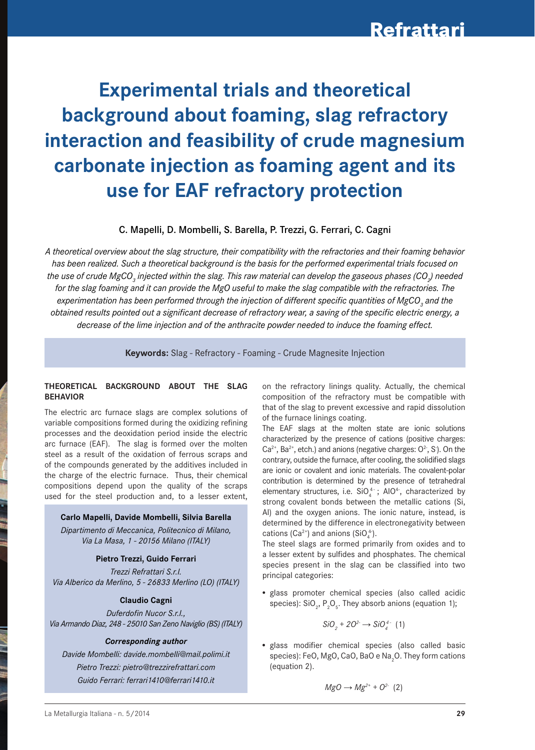# **Experimental trials and theoretical background about foaming, slag refractory interaction and feasibility of crude magnesium carbonate injection as foaming agent and its use for EAF refractory protection**

#### C. Mapelli, D. Mombelli, S. Barella, P. Trezzi, G. Ferrari, C. Cagni

*A theoretical overview about the slag structure, their compatibility with the refractories and their foaming behavior has been realized. Such a theoretical background is the basis for the performed experimental trials focused on the use of crude MgCO<sub>3</sub> injected within the slag. This raw material can develop the gaseous phases (CO<sub>2</sub>) needed for the slag foaming and it can provide the MgO useful to make the slag compatible with the refractories. The*   $e$ xperimentation has been performed through the injection of different specific quantities of MgCO<sub>3</sub> and the *obtained results pointed out a significant decrease of refractory wear, a saving of the specific electric energy, a decrease of the lime injection and of the anthracite powder needed to induce the foaming effect.* 

**Keywords:** Slag - Refractory - Foaming - Crude Magnesite Injection

#### **tHEorEtICAL BACKgrouND ABout tHE SLAg BEHAVIor**

The electric arc furnace slags are complex solutions of variable compositions formed during the oxidizing refining processes and the deoxidation period inside the electric arc furnace (EAF). The slag is formed over the molten steel as a result of the oxidation of ferrous scraps and of the compounds generated by the additives included in the charge of the electric furnace. Thus, their chemical compositions depend upon the quality of the scraps used for the steel production and, to a lesser extent,

#### **Carlo Mapelli, Davide Mombelli, Silvia Barella**

*Dipartimento di Meccanica, Politecnico di Milano, Via La Masa, 1 - 20156 Milano (ITALY)*

#### **Pietro trezzi, guido Ferrari**

*Trezzi Refrattari S.r.l. Via Alberico da Merlino, 5 - 26833 Merlino (LO) (ITALY)*

#### **Claudio Cagni**

*Duferdofin Nucor S.r.l., Via Armando Diaz, 248 - 25010 San Zeno Naviglio (BS) (ITALY)*

#### *Corresponding author*

*Davide Mombelli: davide.mombelli@mail.polimi.it Pietro Trezzi: pietro@trezzirefrattari.com Guido Ferrari: ferrari1410@ferrari1410.it*

on the refractory linings quality. Actually, the chemical composition of the refractory must be compatible with that of the slag to prevent excessive and rapid dissolution of the furnace linings coating.

The EAF slags at the molten state are ionic solutions characterized by the presence of cations (positive charges:  $Ca^{2+}$ , Ba<sup>2+</sup>, etch.) and anions (negative charges:  $O^2$ , S). On the contrary, outside the furnace, after cooling, the solidified slags are ionic or covalent and ionic materials. The covalent-polar contribution is determined by the presence of tetrahedral elementary structures, i.e.  $SiO<sub>4</sub><sup>4-</sup>$ ; AlO<sup>4</sup>, characterized by strong covalent bonds between the metallic cations (Si, Al) and the oxygen anions. The ionic nature, instead, is determined by the difference in electronegativity between cations (Ca<sup>2+</sup>) and anions (SiO<sub>4</sub><sup>+</sup>).

The steel slags are formed primarily from oxides and to a lesser extent by sulfides and phosphates. The chemical species present in the slag can be classified into two principal categories:

• glass promoter chemical species (also called acidic species):  $\text{SiO}_2$ ,  $\text{P}_2\text{O}_5$ . They absorb anions (equation 1);

$$
SiO_2^{\hspace{1mm}+} 2O^{2-} \longrightarrow SiO_4^{\hspace{1mm}4-} \hspace{1mm} (1)
$$

• glass modifier chemical species (also called basic species): FeO, MgO, CaO, BaO e Na $\rm _2$ O. They form cations (equation 2).

$$
MgO\longrightarrow Mg^{2+}+O^{2-}(2)
$$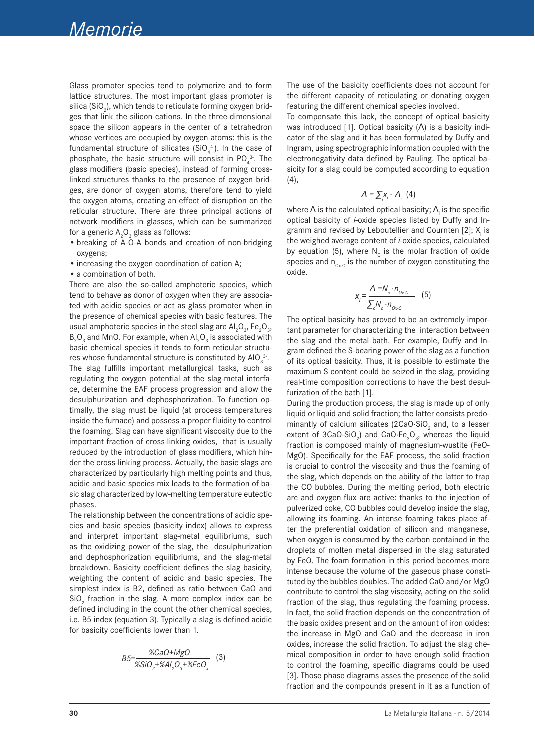Glass promoter species tend to polymerize and to form lattice structures. The most important glass promoter is silica (SiO $_{\textrm{\tiny{2}}}$ ), which tends to reticulate forming oxygen bridges that link the silicon cations. In the three-dimensional space the silicon appears in the center of a tetrahedron whose vertices are occupied by oxygen atoms: this is the fundamental structure of silicates (SiO $_4^4$ ). In the case of phosphate, the basic structure will consist in PO $_4^{3}$ . The glass modifiers (basic species), instead of forming crosslinked structures thanks to the presence of oxygen bridges, are donor of oxygen atoms, therefore tend to yield the oxygen atoms, creating an effect of disruption on the reticular structure. There are three principal actions of network modifiers in glasses, which can be summarized for a generic  $\mathsf{A}_\mathsf{2}\mathsf{O}_\mathsf{3}$  glass as follows:

- breaking of A-O-A bonds and creation of non-bridging oxygens;
- increasing the oxygen coordination of cation A;
- a combination of both.

There are also the so-called amphoteric species, which tend to behave as donor of oxygen when they are associated with acidic species or act as glass promoter when in the presence of chemical species with basic features. The usual amphoteric species in the steel slag are  $\mathsf{Al}_2\mathsf{O}_3$ , Fe $_2\mathsf{O}_3$ ,  $\mathsf{B}_\mathsf{2}\mathsf{O}_\mathsf{3}$  and MnO. For example, when  $\mathsf{Al}_\mathsf{2}\mathsf{O}_\mathsf{3}$  is associated with basic chemical species it tends to form reticular structures whose fundamental structure is constituted by AlO $_3^3$ . The slag fulfills important metallurgical tasks, such as regulating the oxygen potential at the slag-metal interface, determine the EAF process progression and allow the desulphurization and dephosphorization. To function optimally, the slag must be liquid (at process temperatures inside the furnace) and possess a proper fluidity to control the foaming. Slag can have significant viscosity due to the important fraction of cross-linking oxides, that is usually reduced by the introduction of glass modifiers, which hinder the cross-linking process. Actually, the basic slags are characterized by particularly high melting points and thus, acidic and basic species mix leads to the formation of basic slag characterized by low-melting temperature eutectic phases.

The relationship between the concentrations of acidic species and basic species (basicity index) allows to express and interpret important slag-metal equilibriums, such as the oxidizing power of the slag, the desulphurization and dephosphorization equilibriums, and the slag-metal breakdown. Basicity coefficient defines the slag basicity, weighting the content of acidic and basic species. The simplest index is B2, defined as ratio between CaO and  $\text{SiO}_2$  fraction in the slag. A more complex index can be defined including in the count the other chemical species, i.e. B5 index (equation 3). Typically a slag is defined acidic for basicity coefficients lower than 1.

$$
B5 = \frac{\%CaO + MgO}{\%SiO_2 + \%Al_2O_3 + \%FeO_\chi}
$$
 (3)

The use of the basicity coefficients does not account for the different capacity of reticulating or donating oxygen featuring the different chemical species involved.

To compensate this lack, the concept of optical basicity was introduced [1]. Optical basicity (Λ) is a basicity indicator of the slag and it has been formulated by Duffy and Ingram, using spectrographic information coupled with the electronegativity data defined by Pauling. The optical basicity for a slag could be computed according to equation (4),

$$
\Lambda = \sum_i x_i \cdot \Lambda_i \ (4)
$$

where  $\Lambda$  is the calculated optical basicity;  $\Lambda_{\!\scriptscriptstyle [i]}$  is the specific optical basicity of *i*-oxide species listed by Duffy and Ingramm and revised by Leboutellier and Cournten [2];  $X_i$  is the weighed average content of *i-*oxide species, calculated by equation (5), where  $N_c$  is the molar fraction of oxide species and  $n_{0x-C}$  is the number of oxygen constituting the oxide.

$$
x_{i} = \frac{\Lambda = N_{c} \cdot n_{o \times c}}{\sum_{c} N_{c} \cdot n_{o \times c}} \quad (5)
$$

The optical basicity has proved to be an extremely important parameter for characterizing the interaction between the slag and the metal bath. For example, Duffy and Ingram defined the S-bearing power of the slag as a function of its optical basicity. Thus, it is possible to estimate the maximum S content could be seized in the slag, providing real-time composition corrections to have the best desulfurization of the bath [1].

During the production process, the slag is made up of only liquid or liquid and solid fraction; the latter consists predominantly of calcium silicates (2CaO $\cdot$ SiO<sub>2</sub> and, to a lesser extent of  $3CaO·SiO<sub>2</sub>$ ) and  $CaO·Fe<sub>2</sub>O<sub>3</sub>$ , whereas the liquid fraction is composed mainly of magnesium-wustite (FeO-MgO). Specifically for the EAF process, the solid fraction is crucial to control the viscosity and thus the foaming of the slag, which depends on the ability of the latter to trap the CO bubbles. During the melting period, both electric arc and oxygen flux are active: thanks to the injection of pulverized coke, CO bubbles could develop inside the slag, allowing its foaming. An intense foaming takes place after the preferential oxidation of silicon and manganese, when oxygen is consumed by the carbon contained in the droplets of molten metal dispersed in the slag saturated by FeO. The foam formation in this period becomes more intense because the volume of the gaseous phase constituted by the bubbles doubles. The added CaO and/or MgO contribute to control the slag viscosity, acting on the solid fraction of the slag, thus regulating the foaming process. In fact, the solid fraction depends on the concentration of the basic oxides present and on the amount of iron oxides: the increase in MgO and CaO and the decrease in iron oxides, increase the solid fraction. To adjust the slag chemical composition in order to have enough solid fraction to control the foaming, specific diagrams could be used [3]. Those phase diagrams asses the presence of the solid fraction and the compounds present in it as a function of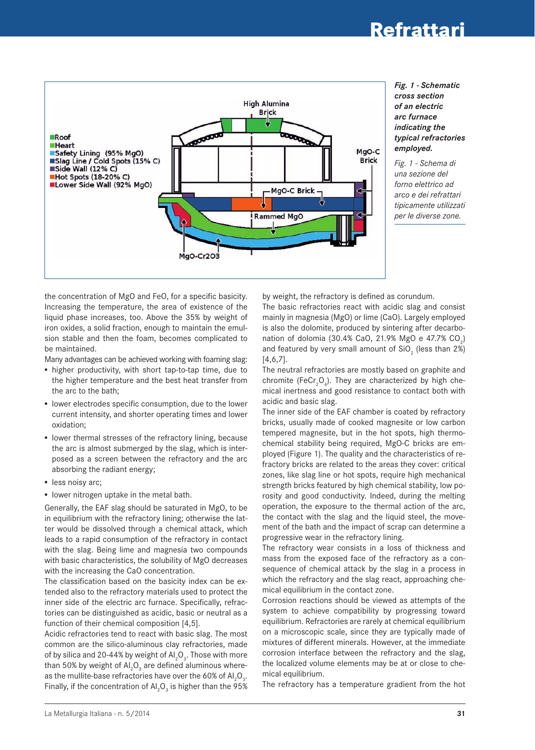### **Refrattari**



#### *Fig. 1 - Schematic cross section of an electric arc furnace indicating the typical refractories employed.*

*Fig. 1 - Schema di una sezione del forno elettrico ad arco e dei refrattari tipicamente utilizzati per le diverse zone.*

the concentration of MgO and FeO, for a specific basicity. Increasing the temperature, the area of existence of the liquid phase increases, too. Above the 35% by weight of iron oxides, a solid fraction, enough to maintain the emulsion stable and then the foam, becomes complicated to be maintained.

Many advantages can be achieved working with foaming slag:

- higher productivity, with short tap-to-tap time, due to the higher temperature and the best heat transfer from the arc to the bath;
- lower electrodes specific consumption, due to the lower current intensity, and shorter operating times and lower oxidation;
- lower thermal stresses of the refractory lining, because the arc is almost submerged by the slag, which is interposed as a screen between the refractory and the arc absorbing the radiant energy;
- less noisy arc;
- lower nitrogen uptake in the metal bath.

Generally, the EAF slag should be saturated in MgO, to be in equilibrium with the refractory lining; otherwise the latter would be dissolved through a chemical attack, which leads to a rapid consumption of the refractory in contact with the slag. Being lime and magnesia two compounds with basic characteristics, the solubility of MgO decreases with the increasing the CaO concentration.

The classification based on the basicity index can be extended also to the refractory materials used to protect the inner side of the electric arc furnace. Specifically, refractories can be distinguished as acidic, basic or neutral as a function of their chemical composition [4,5].

Acidic refractories tend to react with basic slag. The most common are the silico-aluminous clay refractories, made of by silica and 20-44% by weight of Al $_2$ O $_3$ . Those with more than 50% by weight of Al ${_{2} \mathsf{O}_{_{3}}}$  are defined aluminous whereas the mullite-base refractories have over the 60% of  $\mathsf{Al}_2\mathsf{O}_3.$ Finally, if the concentration of  $\mathsf{Al}_2\mathsf{O}_3$  is higher than the 95% by weight, the refractory is defined as corundum.

The basic refractories react with acidic slag and consist mainly in magnesia (MgO) or lime (CaO). Largely employed is also the dolomite, produced by sintering after decarbonation of dolomia (30.4% CaO, 21.9% MgO e 47.7% CO<sub>2</sub>) and featured by very small amount of  $\text{SiO}_2$  (less than 2%) [4,6,7].

The neutral refractories are mostly based on graphite and chromite (FeCr<sub>2</sub>O<sub>4</sub>). They are characterized by high chemical inertness and good resistance to contact both with acidic and basic slag.

The inner side of the EAF chamber is coated by refractory bricks, usually made of cooked magnesite or low carbon tempered magnesite, but in the hot spots, high thermochemical stability being required, MgO-C bricks are employed (Figure 1). The quality and the characteristics of refractory bricks are related to the areas they cover: critical zones, like slag line or hot spots, require high mechanical strength bricks featured by high chemical stability, low porosity and good conductivity. Indeed, during the melting operation, the exposure to the thermal action of the arc, the contact with the slag and the liquid steel, the movement of the bath and the impact of scrap can determine a progressive wear in the refractory lining.

The refractory wear consists in a loss of thickness and mass from the exposed face of the refractory as a consequence of chemical attack by the slag in a process in which the refractory and the slag react, approaching chemical equilibrium in the contact zone.

Corrosion reactions should be viewed as attempts of the system to achieve compatibility by progressing toward equilibrium. Refractories are rarely at chemical equilibrium on a microscopic scale, since they are typically made of mixtures of different minerals. However, at the immediate corrosion interface between the refractory and the slag, the localized volume elements may be at or close to chemical equilibrium.

The refractory has a temperature gradient from the hot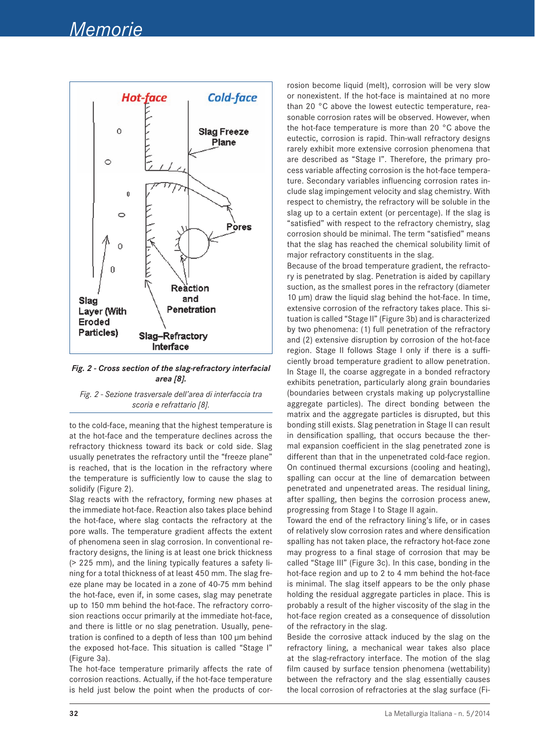

*Fig. 2 - Cross section of the slag-refractory interfacial area [8].*

*Fig. 2 - Sezione trasversale dell'area di interfaccia tra scoria e refrattario [8].*

to the cold-face, meaning that the highest temperature is at the hot-face and the temperature declines across the refractory thickness toward its back or cold side. Slag usually penetrates the refractory until the "freeze plane" is reached, that is the location in the refractory where the temperature is sufficiently low to cause the slag to solidify (Figure 2).

Slag reacts with the refractory, forming new phases at the immediate hot-face. Reaction also takes place behind the hot-face, where slag contacts the refractory at the pore walls. The temperature gradient affects the extent of phenomena seen in slag corrosion. In conventional refractory designs, the lining is at least one brick thickness (> 225 mm), and the lining typically features a safety lining for a total thickness of at least 450 mm. The slag freeze plane may be located in a zone of 40-75 mm behind the hot-face, even if, in some cases, slag may penetrate up to 150 mm behind the hot-face. The refractory corrosion reactions occur primarily at the immediate hot-face, and there is little or no slag penetration. Usually, penetration is confined to a depth of less than 100 μm behind the exposed hot-face. This situation is called "Stage I" (Figure 3a).

The hot-face temperature primarily affects the rate of corrosion reactions. Actually, if the hot-face temperature is held just below the point when the products of corrosion become liquid (melt), corrosion will be very slow or nonexistent. If the hot-face is maintained at no more than 20 °C above the lowest eutectic temperature, reasonable corrosion rates will be observed. However, when the hot-face temperature is more than 20 °C above the eutectic, corrosion is rapid. Thin-wall refractory designs rarely exhibit more extensive corrosion phenomena that are described as "Stage I". Therefore, the primary process variable affecting corrosion is the hot-face temperature. Secondary variables influencing corrosion rates include slag impingement velocity and slag chemistry. With respect to chemistry, the refractory will be soluble in the slag up to a certain extent (or percentage). If the slag is "satisfied" with respect to the refractory chemistry, slag corrosion should be minimal. The term "satisfied" means that the slag has reached the chemical solubility limit of major refractory constituents in the slag.

Because of the broad temperature gradient, the refractory is penetrated by slag. Penetration is aided by capillary suction, as the smallest pores in the refractory (diameter 10 μm) draw the liquid slag behind the hot-face. In time, extensive corrosion of the refractory takes place. This situation is called "Stage II" (Figure 3b) and is characterized by two phenomena: (1) full penetration of the refractory and (2) extensive disruption by corrosion of the hot-face region. Stage II follows Stage I only if there is a sufficiently broad temperature gradient to allow penetration. In Stage II, the coarse aggregate in a bonded refractory exhibits penetration, particularly along grain boundaries (boundaries between crystals making up polycrystalline aggregate particles). The direct bonding between the matrix and the aggregate particles is disrupted, but this bonding still exists. Slag penetration in Stage II can result in densification spalling, that occurs because the thermal expansion coefficient in the slag penetrated zone is different than that in the unpenetrated cold-face region. On continued thermal excursions (cooling and heating), spalling can occur at the line of demarcation between penetrated and unpenetrated areas. The residual lining, after spalling, then begins the corrosion process anew, progressing from Stage I to Stage II again.

Toward the end of the refractory lining's life, or in cases of relatively slow corrosion rates and where densification spalling has not taken place, the refractory hot-face zone may progress to a final stage of corrosion that may be called "Stage III" (Figure 3c). In this case, bonding in the hot-face region and up to 2 to 4 mm behind the hot-face is minimal. The slag itself appears to be the only phase holding the residual aggregate particles in place. This is probably a result of the higher viscosity of the slag in the hot-face region created as a consequence of dissolution of the refractory in the slag.

Beside the corrosive attack induced by the slag on the refractory lining, a mechanical wear takes also place at the slag-refractory interface. The motion of the slag film caused by surface tension phenomena (wettability) between the refractory and the slag essentially causes the local corrosion of refractories at the slag surface (Fi-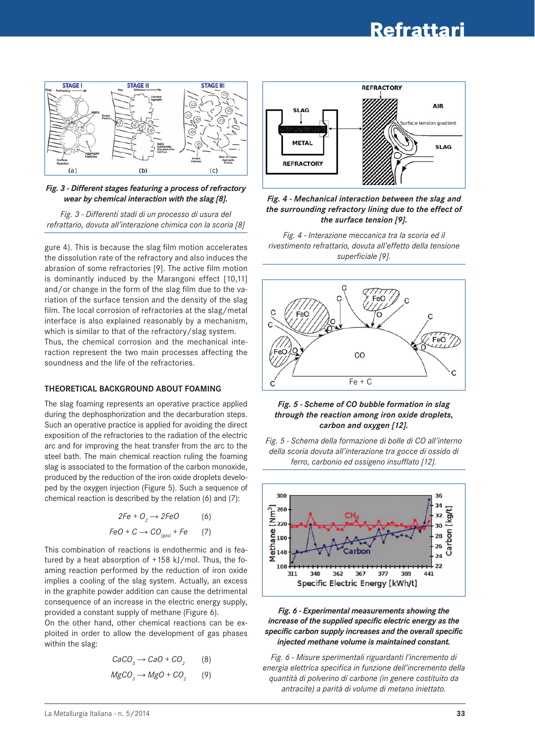

*Fig. 3 - Different stages featuring a process of refractory wear by chemical interaction with the slag [8].*

*Fig. 3 - Differenti stadi di un processo di usura del refrattario, dovuta all'interazione chimica con la scoria [8]*

gure 4). This is because the slag film motion accelerates the dissolution rate of the refractory and also induces the abrasion of some refractories [9]. The active film motion is dominantly induced by the Marangoni effect [10,11] and/or change in the form of the slag film due to the variation of the surface tension and the density of the slag film. The local corrosion of refractories at the slag/metal interface is also explained reasonably by a mechanism, which is similar to that of the refractory/slag system. Thus, the chemical corrosion and the mechanical interaction represent the two main processes affecting the soundness and the life of the refractories.

#### **tHEorEtICAL BACKgrouND ABout FoAMINg**

The slag foaming represents an operative practice applied during the dephosphorization and the decarburation steps. Such an operative practice is applied for avoiding the direct exposition of the refractories to the radiation of the electric arc and for improving the heat transfer from the arc to the steel bath. The main chemical reaction ruling the foaming slag is associated to the formation of the carbon monoxide, produced by the reduction of the iron oxide droplets developed by the oxygen injection (Figure 5). Such a sequence of chemical reaction is described by the relation (6) and (7):

$$
2Fe + O2 \rightarrow 2FeO
$$
 (6)  
FeO + C  $\rightarrow$  CO<sub>(gas)</sub> + Fe (7)

This combination of reactions is endothermic and is featured by a heat absorption of  $+158$  kJ/mol. Thus, the foaming reaction performed by the reduction of iron oxide implies a cooling of the slag system. Actually, an excess in the graphite powder addition can cause the detrimental consequence of an increase in the electric energy supply, provided a constant supply of methane (Figure 6).

On the other hand, other chemical reactions can be exploited in order to allow the development of gas phases within the slag:

$$
CaCO3 \rightarrow CaO + CO2 \qquad (8)
$$
  

$$
MgCO3 \rightarrow MgO + CO2 \qquad (9)
$$



*Fig. 4 - Mechanical interaction between the slag and the surrounding refractory lining due to the effect of the surface tension [9].*

*Fig. 4 - Interazione meccanica tra la scoria ed il rivestimento refrattario, dovuta all'effetto della tensione superficiale [9].*



#### *Fig. 5 - Scheme of CO bubble formation in slag through the reaction among iron oxide droplets, carbon and oxygen [12].*





*Fig. 6 - Experimental measurements showing the increase of the supplied specific electric energy as the specific carbon supply increases and the overall specific injected methane volume is maintained constant.*

*Fig. 6 - Misure sperimentali riguardanti l'incremento di energia elettrica specifica in funzione dell'incremento della quantità di polverino di carbone (in genere costituito da antracite) a parità di volume di metano iniettato.*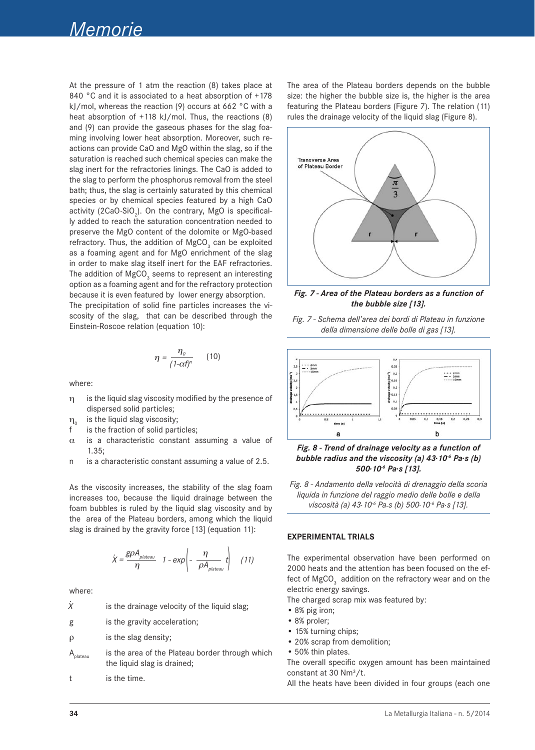At the pressure of 1 atm the reaction (8) takes place at 840 °C and it is associated to a heat absorption of +178 kJ/mol, whereas the reaction (9) occurs at 662 °C with a heat absorption of +118 kJ/mol. Thus, the reactions (8) and (9) can provide the gaseous phases for the slag foaming involving lower heat absorption. Moreover, such reactions can provide CaO and MgO within the slag, so if the saturation is reached such chemical species can make the slag inert for the refractories linings. The CaO is added to the slag to perform the phosphorus removal from the steel bath; thus, the slag is certainly saturated by this chemical species or by chemical species featured by a high CaO activity (2CaO $\cdot$ SiO<sub>2</sub>). On the contrary, MgO is specifically added to reach the saturation concentration needed to preserve the MgO content of the dolomite or MgO-based refractory. Thus, the addition of  $MgCO<sub>3</sub>$  can be exploited as a foaming agent and for MgO enrichment of the slag in order to make slag itself inert for the EAF refractories. The addition of  ${\rm MgCO}_{_3}$  seems to represent an interesting option as a foaming agent and for the refractory protection because it is even featured by lower energy absorption.

The precipitation of solid fine particles increases the viscosity of the slag, that can be described through the Einstein-Roscoe relation (equation 10):

$$
\eta = \frac{\eta_o}{(1-\alpha t)^n} \qquad (10)
$$

where:

- h is the liquid slag viscosity modified by the presence of dispersed solid particles;
- $\eta_0$  is the liquid slag viscosity;<br>f is the fraction of solid part
- is the fraction of solid particles;
- $\alpha$  is a characteristic constant assuming a value of  $1.35$
- n is a characteristic constant assuming a value of 2.5.

As the viscosity increases, the stability of the slag foam increases too, because the liquid drainage between the foam bubbles is ruled by the liquid slag viscosity and by the area of the Plateau borders, among which the liquid slag is drained by the gravity force [13] (equation 11):

$$
\dot{X} = \frac{g\rho A_{plateau}}{\eta} \quad 1 - \exp\left(-\frac{\eta}{\rho A_{plateau}}t\right) \quad (11)
$$

where:

| X | is the drainage velocity of the liquid slag; |
|---|----------------------------------------------|
|   |                                              |

- g is the gravity acceleration;
- $\rho$  is the slag density;
- $A_{\text{relaton}}$  is the area of the Plateau border through which the liquid slag is drained;

t is the time.

The area of the Plateau borders depends on the bubble size: the higher the bubble size is, the higher is the area featuring the Plateau borders (Figure 7). The relation (11) rules the drainage velocity of the liquid slag (Figure 8).



*Fig. 7 - Area of the Plateau borders as a function of the bubble size [13].*





*Fig. 8 - Trend of drainage velocity as a function of bubble radius and the viscosity (a) 43.10-6 Pa.s (b) 500.10-6 Pa.s [13].*

*Fig. 8 - Andamento della velocità di drenaggio della scoria liquida in funzione del raggio medio delle bolle e della viscosità (a) 43.10-6 Pa.s (b) 500.10-6 Pa.s [13].*

#### **ExPErIMENtAL trIALS**

The experimental observation have been performed on 2000 heats and the attention has been focused on the effect of  ${ {\rm MgCO}_3^-}$  addition on the refractory wear and on the electric energy savings.

The charged scrap mix was featured by:

- • 8% pig iron;
- 8% proler;
- 15% turning chips;
- • 20% scrap from demolition;
- 50% thin plates.

The overall specific oxygen amount has been maintained constant at 30 Nm3 /t.

All the heats have been divided in four groups (each one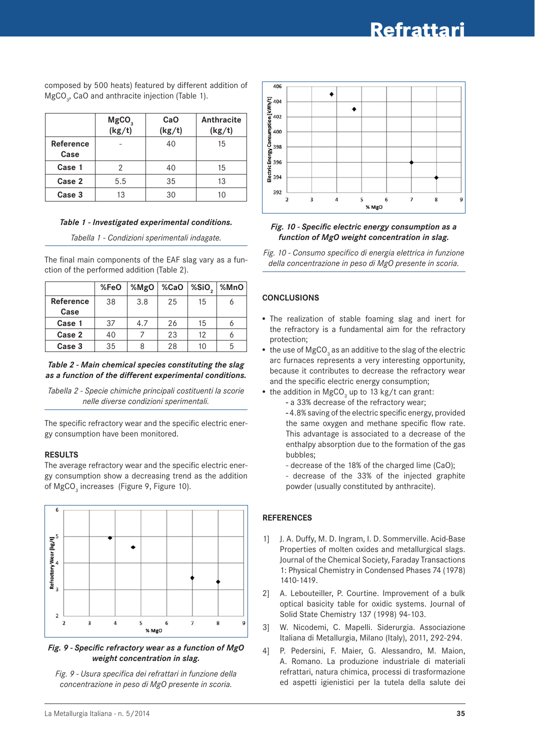|                   | $MgCO3$<br>(kg/t) | CaO<br>(kg/t) | Anthracite<br>(kg/t) |
|-------------------|-------------------|---------------|----------------------|
| Reference<br>Case |                   | 40            | 15                   |
| Case 1            | 2                 | 40            | 15                   |
| Case 2            | 5.5               | 35<br>13      |                      |
| Case 3            | 13                | 30            | 10                   |

composed by 500 heats) featured by different addition of  $MgCO<sub>3</sub>$ , CaO and anthracite injection (Table 1).

#### *Table 1 - Investigated experimental conditions.*

*Tabella 1 - Condizioni sperimentali indagate.*

The final main components of the EAF slag vary as a function of the performed addition (Table 2).

|                  | %FeO | %MgO | %CaO | %SiO <sub>2</sub> | %MnO |
|------------------|------|------|------|-------------------|------|
| <b>Reference</b> | 38   | 3.8  | 25   | 15                |      |
| Case             |      |      |      |                   |      |
| Case 1           | 37   | 4.7  | 26   | 15                |      |
| Case 2           | 40   |      | 23   | 12                |      |
| Case 3           | 35   |      | 28   | 10                | 5    |

#### *Table 2 - Main chemical species constituting the slag as a function of the different experimental conditions.*

*Tabella 2 - Specie chimiche principali costituenti la scorie nelle diverse condizioni sperimentali.*

The specific refractory wear and the specific electric energy consumption have been monitored.

#### **rESuLtS**

The average refractory wear and the specific electric energy consumption show a decreasing trend as the addition of MgCO<sub>3</sub> increases (Figure 9, Figure 10).



*Fig. 9 - Specific refractory wear as a function of MgO weight concentration in slag.*

*Fig. 9 - Usura specifica dei refrattari in funzione della concentrazione in peso di MgO presente in scoria.*



#### *Fig. 10 - Specific electric energy consumption as a function of MgO weight concentration in slag.*

*Fig. 10 - Consumo specifico di energia elettrica in funzione della concentrazione in peso di MgO presente in scoria.*

#### **CoNCLuSIoNS**

- The realization of stable foaming slag and inert for the refractory is a fundamental aim for the refractory protection;
- $\bullet~$  the use of MgCO $_{_3}$  as an additive to the slag of the electric arc furnaces represents a very interesting opportunity, because it contributes to decrease the refractory wear and the specific electric energy consumption;
- the addition in MgCO<sub>3</sub> up to 13 kg/t can grant:
	- a 33% decrease of the refractory wear;

**-** 4.8% saving of the electric specific energy, provided the same oxygen and methane specific flow rate. This advantage is associated to a decrease of the enthalpy absorption due to the formation of the gas bubbles;

- decrease of the 18% of the charged lime (CaO);

- decrease of the 33% of the injected graphite powder (usually constituted by anthracite).

#### **rEFErENCES**

- 1] J. A. Duffy, M. D. Ingram, I. D. Sommerville. Acid-Base Properties of molten oxides and metallurgical slags. Journal of the Chemical Society, Faraday Transactions 1: Physical Chemistry in Condensed Phases 74 (1978) 1410-1419.
- 2] A. Lebouteiller, P. Courtine. Improvement of a bulk optical basicity table for oxidic systems. Journal of Solid State Chemistry 137 (1998) 94-103.
- 3] W. Nicodemi, C. Mapelli. Siderurgia. Associazione Italiana di Metallurgia, Milano (Italy), 2011, 292-294.
- 4] P. Pedersini, F. Maier, G. Alessandro, M. Maion, A. Romano. La produzione industriale di materiali refrattari, natura chimica, processi di trasformazione ed aspetti igienistici per la tutela della salute dei